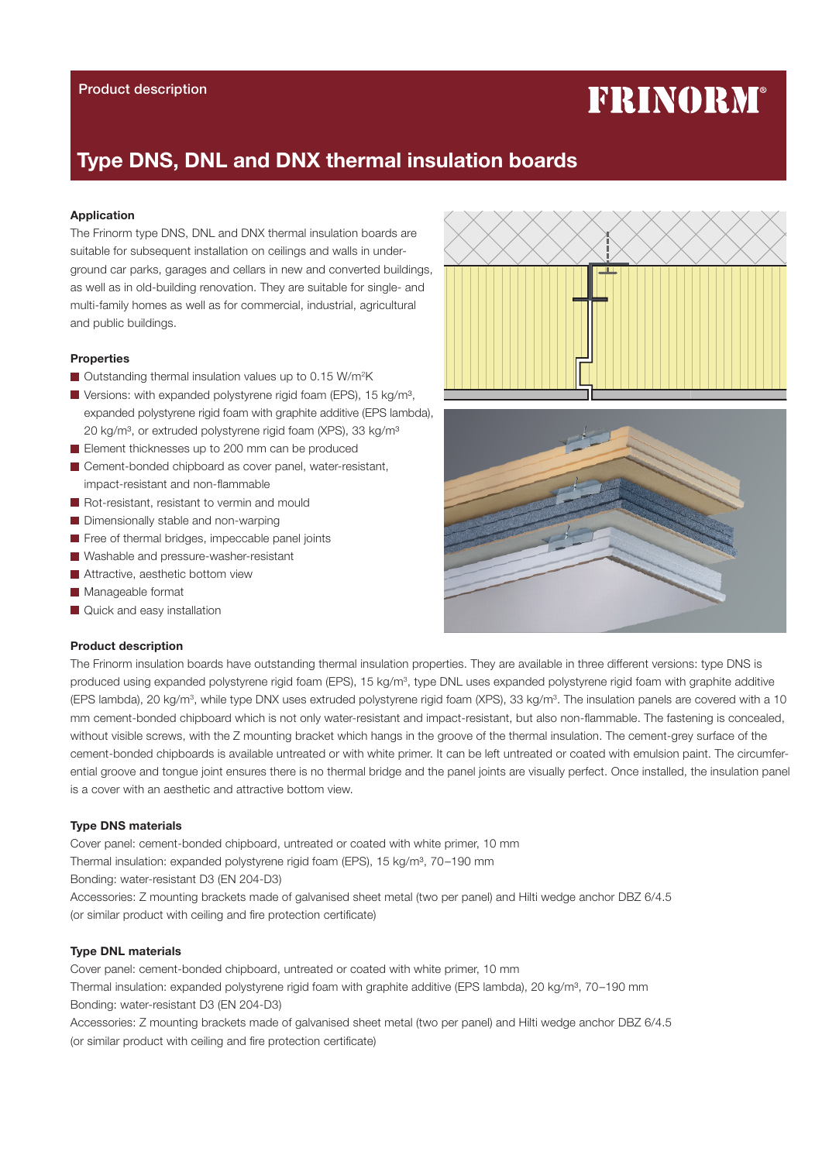# FRINORM®

# Type DNS, DNL and DNX thermal insulation boards

# Application

The Frinorm type DNS, DNL and DNX thermal insulation boards are suitable for subsequent installation on ceilings and walls in underground car parks, garages and cellars in new and converted buildings, as well as in old-building renovation. They are suitable for single- and multi-family homes as well as for commercial, industrial, agricultural and public buildings.

# Properties

- Outstanding thermal insulation values up to 0.15 W/m<sup>2</sup>K
- Versions: with expanded polystyrene rigid foam (EPS), 15 kg/m<sup>3</sup>, expanded polystyrene rigid foam with graphite additive (EPS lambda), 20 kg/m<sup>3</sup>, or extruded polystyrene rigid foam (XPS), 33 kg/m<sup>3</sup>
- Element thicknesses up to 200 mm can be produced
- Cement-bonded chipboard as cover panel, water-resistant, impact-resistant and non-flammable
- Rot-resistant, resistant to vermin and mould
- Dimensionally stable and non-warping
- Free of thermal bridges, impeccable panel joints
- Washable and pressure-washer-resistant
- **Attractive, aesthetic bottom view**
- Manageable format
- **Quick and easy installation**

#### Product description

The Frinorm insulation boards have outstanding thermal insulation properties. They are available in three different versions: type DNS is produced using expanded polystyrene rigid foam (EPS), 15 kg/m<sup>3</sup>, type DNL uses expanded polystyrene rigid foam with graphite additive (EPS lambda), 20 kg/m<sup>3</sup>, while type DNX uses extruded polystyrene rigid foam (XPS), 33 kg/m<sup>3</sup>. The insulation panels are covered with a 10 mm cement-bonded chipboard which is not only water-resistant and impact-resistant, but also non-flammable. The fastening is concealed, without visible screws, with the Z mounting bracket which hangs in the groove of the thermal insulation. The cement-grey surface of the cement-bonded chipboards is available untreated or with white primer. It can be left untreated or coated with emulsion paint. The circumferential groove and tongue joint ensures there is no thermal bridge and the panel joints are visually perfect. Once installed, the insulation panel is a cover with an aesthetic and attractive bottom view.

### Type DNS materials

Cover panel: cement-bonded chipboard, untreated or coated with white primer, 10 mm Thermal insulation: expanded polystyrene rigid foam (EPS), 15 kg/m<sup>3</sup>, 70-190 mm Bonding: water-resistant D3 (EN 204-D3) Accessories: Z mounting brackets made of galvanised sheet metal (two per panel) and Hilti wedge anchor DBZ 6/4.5 (or similar product with ceiling and fire protection certificate)

#### Type DNL materials

Cover panel: cement-bonded chipboard, untreated or coated with white primer, 10 mm Thermal insulation: expanded polystyrene rigid foam with graphite additive (EPS lambda), 20 kg/m<sup>3</sup>, 70–190 mm Bonding: water-resistant D3 (EN 204-D3)

Accessories: Z mounting brackets made of galvanised sheet metal (two per panel) and Hilti wedge anchor DBZ 6/4.5 (or similar product with ceiling and fire protection certificate)